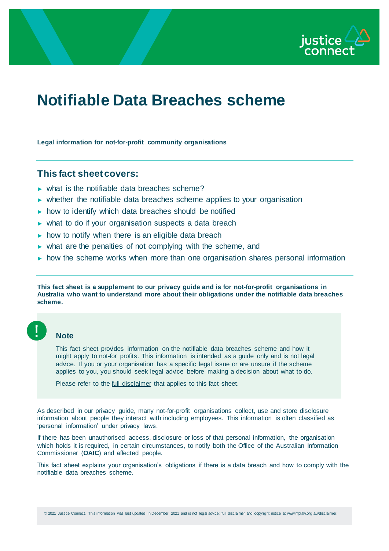

# **Notifiable Data Breaches scheme**

**Legal information for not-for-profit community organisations**

## **This fact sheet covers:**

- ► what is the notifiable data breaches scheme?
- ► whether the notifiable data breaches scheme applies to your organisation
- ► how to identify which data breaches should be notified
- ► what to do if your organisation suspects a data breach
- $\triangleright$  how to notify when there is an eligible data breach
- ► what are the penalties of not complying with the scheme, and
- ► how the scheme works when more than one organisation shares personal information

**This fact sheet is a supplement to our privacy guide and is for not-for-profit organisations in Australia who want to understand more about their obligations under the notifiable data breaches scheme.**

### **Note**

This fact sheet provides information on the notifiable data breaches scheme and how it might apply to not-for profits. This information is intended as a guide only and is not legal advice. If you or your organisation has a specific legal issue or are unsure if the scheme applies to you, you should seek legal advice before making a decision about what to do.

Please refer to the *full disclaimer* that applies to this fact sheet.

As described in our privacy guide, many not-for-profit organisations collect, use and store disclosure information about people they interact with including employees. This information is often classified as 'personal information' under privacy laws.

If there has been unauthorised access, disclosure or loss of that personal information, the organisation which holds it is required, in certain circumstances, to notify both the Office of the Australian Information Commissioner (**OAIC**) and affected people.

This fact sheet explains your organisation's obligations if there is a data breach and how to comply with the notifiable data breaches scheme.

© 2021 Justice Connect. This information was last updated in December 2021 and is not legal advice; full disclaimer and copyright notice at www.nfplaw.org.au/disclaimer.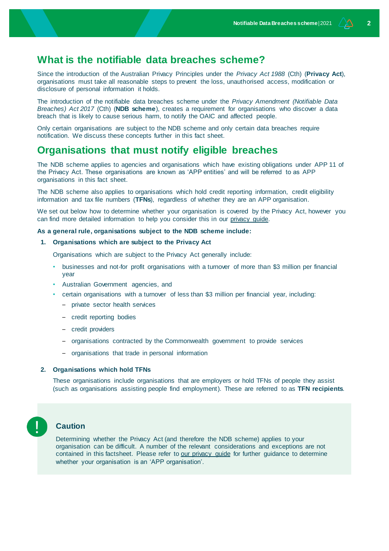# **What is the notifiable data breaches scheme?**

Since the introduction of the Australian Privacy Principles under the *Privacy Act 1988* (Cth) (**Privacy Act**), organisations must take all reasonable steps to prevent the loss, unauthorised access, modification or disclosure of personal information it holds.

The introduction of the notifiable data breaches scheme under the *Privacy Amendment (Notifiable Data Breaches) Act 2017* (Cth) (**NDB scheme**), creates a requirement for organisations who discover a data breach that is likely to cause serious harm, to notify the OAIC and affected people.

Only certain organisations are subject to the NDB scheme and only certain data breaches require notification. We discuss these concepts further in this fact sheet.

# **Organisations that must notify eligible breaches**

The NDB scheme applies to agencies and organisations which have existing obligations under APP 11 of the Privacy Act. These organisations are known as 'APP entities' and will be referred to as APP organisations in this fact sheet.

The NDB scheme also applies to organisations which hold credit reporting information, credit eligibility information and tax file numbers (**TFNs**), regardless of whether they are an APP organisation.

We set out below how to determine whether your organisation is covered by the Privacy Act, however you can find more detailed information to help you consider this in our [privacy guide.](http://www.nfplaw.org.au/privacy)

### **As a general rule, organisations subject to the NDB scheme include:**

**1. Organisations which are subject to the Privacy Act** 

Organisations which are subject to the Privacy Act generally include:

- businesses and not-for profit organisations with a turnover of more than \$3 million per financial year
- Australian Government agencies, and
- certain organisations with a turnover of less than \$3 million per financial year, including:
	- private sector health services
	- credit reporting bodies
	- credit providers
	- organisations contracted by the Commonwealth government to provide services
	- organisations that trade in personal information

### **2. Organisations which hold TFNs**

These organisations include organisations that are employers or hold TFNs of people they assist (such as organisations assisting people find employment). These are referred to as **TFN recipients**.



#### **Caution**

Determining whether the Privacy Act (and therefore the NDB scheme) applies to your organisation can be difficult. A number of the relevant considerations and exceptions are not contained in this factsheet. Please refer to [our privacy](http://www.nfplaw.org.au/privacy) guide for further guidance to determine whether your organisation is an 'APP organisation'.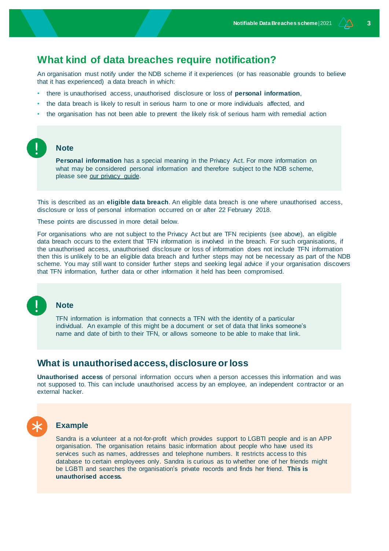# **What kind of data breaches require notification?**

An organisation must notify under the NDB scheme if it experiences (or has reasonable grounds to believe that it has experienced) a data breach in which:

- there is unauthorised access, unauthorised disclosure or loss of **personal information**,
- the data breach is likely to result in serious harm to one or more individuals affected, and
- the organisation has not been able to prevent the likely risk of serious harm with remedial action

### **Note**

**Personal information** has a special meaning in the Privacy Act. For more information on what may be considered personal information and therefore subject to the NDB scheme, please see [our privacy guide.](http://www.nfplaw.org.au/privacy)

This is described as an **eligible data breach**. An eligible data breach is one where unauthorised access, disclosure or loss of personal information occurred on or after 22 February 2018.

These points are discussed in more detail below.

For organisations who are not subject to the Privacy Act but are TFN recipients (see above), an eligible data breach occurs to the extent that TFN information is involved in the breach. For such organisations, if the unauthorised access, unauthorised disclosure or loss of information does not include TFN information then this is unlikely to be an eligible data breach and further steps may not be necessary as part of the NDB scheme. You may still want to consider further steps and seeking legal advice if your organisation discovers that TFN information, further data or other information it held has been compromised.

### **Note**

TFN information is information that connects a TFN with the identity of a particular individual. An example of this might be a document or set of data that links someone's name and date of birth to their TFN, or allows someone to be able to make that link.

### **What is unauthorised access, disclosure or loss**

**Unauthorised access** of personal information occurs when a person accesses this information and was not supposed to. This can include unauthorised access by an employee, an independent contractor or an external hacker.



### **Example**

Sandra is a volunteer at a not-for-profit which provides support to LGBTI people and is an APP organisation. The organisation retains basic information about people who have used its services such as names, addresses and telephone numbers. It restricts access to this database to certain employees only. Sandra is curious as to whether one of her friends might be LGBTI and searches the organisation's private records and finds her friend. **This is unauthorised access.**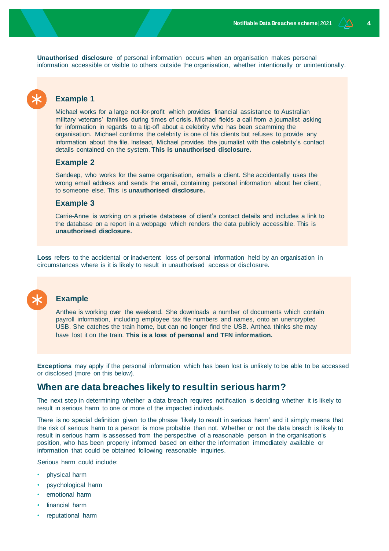**Unauthorised disclosure** of personal information occurs when an organisation makes personal information accessible or visible to others outside the organisation, whether intentionally or unintentionally.

## **Example 1**

Michael works for a large not-for-profit which provides financial assistance to Australian military veterans' families during times of crisis. Michael fields a call from a journalist asking for information in regards to a tip-off about a celebrity who has been scamming the organisation. Michael confirms the celebrity is one of his clients but refuses to provide any information about the file. Instead, Michael provides the journalist with the celebrity's contact details contained on the system. **This is unauthorised disclosure.**

### **Example 2**

Sandeep, who works for the same organisation, emails a client. She accidentally uses the wrong email address and sends the email, containing personal information about her client, to someone else. This is **unauthorised disclosure.**

### **Example 3**

Carrie-Anne is working on a private database of client's contact details and includes a link to the database on a report in a webpage which renders the data publicly accessible. This is **unauthorised disclosure.**

**Loss** refers to the accidental or inadvertent loss of personal information held by an organisation in circumstances where is it is likely to result in unauthorised access or disclosure.



## **Example**

Anthea is working over the weekend. She downloads a number of documents which contain payroll information, including employee tax file numbers and names, onto an unencrypted USB. She catches the train home, but can no longer find the USB. Anthea thinks she may have lost it on the train. **This is a loss of personal and TFN information.**

**Exceptions** may apply if the personal information which has been lost is unlikely to be able to be accessed or disclosed (more on this below).

# **When are data breaches likely to result in serious harm?**

The next step in determining whether a data breach requires notification is deciding whether it is likely to result in serious harm to one or more of the impacted individuals.

There is no special definition given to the phrase 'likely to result in serious harm' and it simply means that the risk of serious harm to a person is more probable than not. Whether or not the data breach is likely to result in serious harm is assessed from the perspective of a reasonable person in the organisation's position, who has been properly informed based on either the information immediately available or information that could be obtained following reasonable inquiries.

Serious harm could include:

- physical harm
- psychological harm
- emotional harm
- financial harm
- reputational harm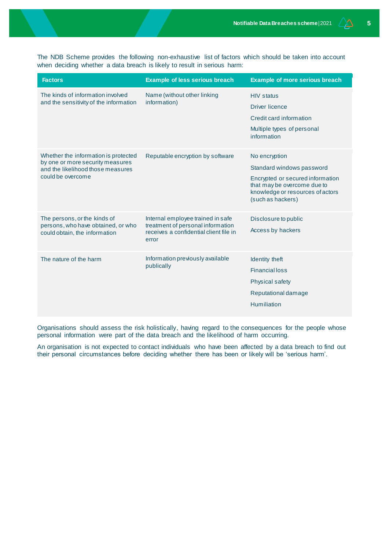The NDB Scheme provides the following non-exhaustive list of factors which should be taken into account when deciding whether a data breach is likely to result in serious harm:

| <b>Factors</b>                                                                                                                     | <b>Example of less serious breach</b>                                                                                     | <b>Example of more serious breach</b>                                                                                                                                  |
|------------------------------------------------------------------------------------------------------------------------------------|---------------------------------------------------------------------------------------------------------------------------|------------------------------------------------------------------------------------------------------------------------------------------------------------------------|
| The kinds of information involved<br>and the sensitivity of the information                                                        | Name (without other linking<br>information)                                                                               | <b>HIV</b> status<br><b>Driver licence</b><br>Credit card information<br>Multiple types of personal<br>information                                                     |
| Whether the information is protected<br>by one or more security measures<br>and the likelihood those measures<br>could be overcome | Reputable encryption by software                                                                                          | No encryption<br>Standard windows password<br>Encrypted or secured information<br>that may be overcome due to<br>knowledge or resources of actors<br>(such as hackers) |
| The persons, or the kinds of<br>persons, who have obtained, or who<br>could obtain, the information                                | Internal employee trained in safe<br>treatment of personal information<br>receives a confidential client file in<br>error | Disclosure to public<br>Access by hackers                                                                                                                              |
| The nature of the harm                                                                                                             | Information previously available<br>publically                                                                            | Identity theft<br><b>Financial loss</b><br><b>Physical safety</b><br>Reputational damage<br>Humiliation                                                                |

Organisations should assess the risk holistically, having regard to the consequences for the people whose personal information were part of the data breach and the likelihood of harm occurring.

An organisation is not expected to contact individuals who have been affected by a data breach to find out their personal circumstances before deciding whether there has been or likely will be 'serious harm'.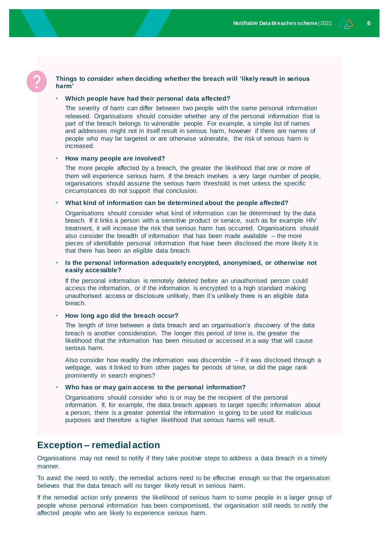## **harm'** • **Which people have had their personal data affected?**

The severity of harm can differ between two people with the same personal information released. Organisations should consider whether any of the personal information that is part of the breach belongs to vulnerable people. For example, a simple list of names and addresses might not in itself result in serious harm, however if there are names of people who may be targeted or are otherwise vulnerable, the risk of serious harm is increased.

**Things to consider when deciding whether the breach will 'likely result in serious** 

#### • **How many people are involved?**

The more people affected by a breach, the greater the likelihood that one or more of them will experience serious harm. If the breach involves a very large number of people, organisations should assume the serious harm threshold is met unless the specific circumstances do not support that conclusion.

### • **What kind of information can be determined about the people affected?**

Organisations should consider what kind of information can be determined by the data breach. If it links a person with a sensitive product or service, such as for example HIV treatment, it will increase the risk that serious harm has occurred. Organisations should also consider the breadth of information that has been made available – the more pieces of identifiable personal information that have been disclosed the more likely it is that there has been an eligible data breach.

### • **Is the personal information adequately encrypted, anonymised, or otherwise not easily accessible?**

If the personal information is remotely deleted before an unauthorised person could access the information, or if the information is encrypted to a high standard making unauthorised access or disclosure unlikely, then it's unlikely there is an eligible data breach.

#### • **How long ago did the breach occur?**

The length of time between a data breach and an organisation's discovery of the data breach is another consideration. The longer this period of time is, the greater the likelihood that the information has been misused or accessed in a way that will cause serious harm.

Also consider how readily the information was discernible  $-$  if it was disclosed through a webpage, was it linked to from other pages for periods of time, or did the page rank prominently in search engines?

#### • **Who has or may gain access to the personal information?**

Organisations should consider who is or may be the recipient of the personal information. If, for example, the data breach appears to target specific information about a person, there is a greater potential the information is going to be used for malicious purposes and therefore a higher likelihood that serious harms will result.

# **Exception – remedial action**

Organisations may not need to notify if they take positive steps to address a data breach in a timely manner.

To avoid the need to notify, the remedial actions need to be effective enough so that the organisation believes that the data breach will no longer likely result in serious harm.

If the remedial action only prevents the likelihood of serious harm to some people in a larger group of people whose personal information has been compromised, the organisation still needs to notify the affected people who are likely to experience serious harm.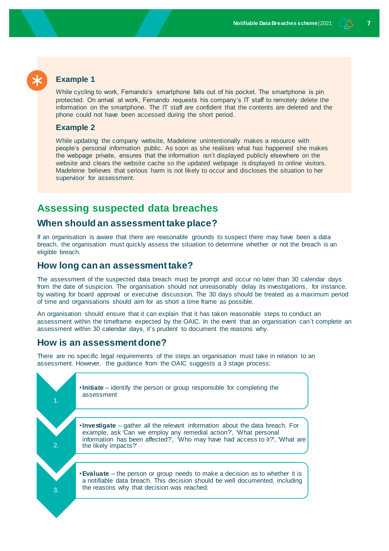# **Example 1**

While cycling to work, Fernando's smartphone falls out of his pocket. The smartphone is pin protected. On arrival at work, Fernando requests his company's IT staff to remotely delete the information on the smartphone. The IT staff are confident that the contents are deleted and the phone could not have been accessed during the short period.

### **Example 2**

While updating the company website, Madeleine unintentionally makes a resource with people's personal information public. As soon as she realises what has happened she makes the webpage private, ensures that the information isn't displayed publicly elsewhere on the website and clears the website cache so the updated webpage is displayed to online visitors. Madeleine believes that serious harm is not likely to occur and discloses the situation to her supervisor for assessment.

# **Assessing suspected data breaches**

### **When should an assessment take place?**

If an organisation is aware that there are reasonable grounds to suspect there may have been a data breach, the organisation must quickly assess the situation to determine whether or not the breach is an eligible breach.

### **How long can an assessment take?**

The assessment of the suspected data breach must be prompt and occur no later than 30 calendar days from the date of suspicion. The organisation should not unreasonably delay its investigations, for instance, by waiting for board approval or executive discussion. The 30 days should be treated as a maximum period of time and organisations should aim for as short a time frame as possible.

An organisation should ensure that it can explain that it has taken reasonable steps to conduct an assessment within the timeframe expected by the OAIC. In the event that an organisation can't complete an assessment within 30 calendar days, it's prudent to document the reasons why.

### **How is an assessment done?**

There are no specific legal requirements of the steps an organisation must take in relation to an assessment. However, the guidance from the OAIC suggests a 3 stage process:

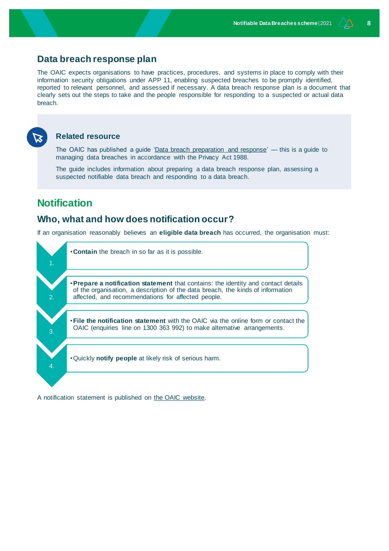# **Data breach response plan**

The OAIC expects organisations to have practices, procedures, and systems in place to comply with their information security obligations under APP 11, enabling suspected breaches to be promptly identified, reported to relevant personnel, and assessed if necessary. A data breach response plan is a document that clearly sets out the steps to take and the people responsible for responding to a suspected or actual data breach.



### **Related resource**

The OAIC has published a guide ['Data breach preparation and response'](https://www.oaic.gov.au/privacy/guidance-and-advice/data-breach-preparation-and-response/) — this is a guide to managing data breaches in accordance with the Privacy Act 1988.

The guide includes information about preparing a data breach response plan, assessing a suspected notifiable data breach and responding to a data breach.

# **Notification**

# **Who, what and how does notification occur?**

If an organisation reasonably believes an **eligible data breach** has occurred, the organisation must:



A notification statement is published on [the OAIC website.](https://forms.business.gov.au/smartforms/servlet/SmartForm.html?formCode=OAIC-NDB)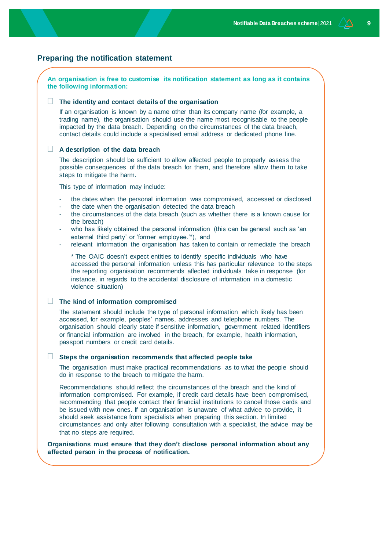### **Preparing the notification statement**

### **An organisation is free to customise its notification statement as long as it contains the following information:**

#### **The identity and contact details of the organisation**

If an organisation is known by a name other than its company name (for example, a trading name), the organisation should use the name most recognisable to the people impacted by the data breach. Depending on the circumstances of the data breach, contact details could include a specialised email address or dedicated phone line.

#### **A description of the data breach**

The description should be sufficient to allow affected people to properly assess the possible consequences of the data breach for them, and therefore allow them to take steps to mitigate the harm.

This type of information may include:

- the dates when the personal information was compromised, accessed or disclosed
- the date when the organisation detected the data breach
- the circumstances of the data breach (such as whether there is a known cause for the breach)
- who has likely obtained the personal information (this can be general such as 'an external third party' or 'former employee.'\*), and
- relevant information the organisation has taken to contain or remediate the breach

\* The OAIC doesn't expect entities to identify specific individuals who have accessed the personal information unless this has particular relevance to the steps the reporting organisation recommends affected individuals take in response (for instance, in regards to the accidental disclosure of information in a domestic violence situation)

#### **The kind of information compromised**

The statement should include the type of personal information which likely has been accessed, for example, peoples' names, addresses and telephone numbers. The organisation should clearly state if sensitive information, government related identifiers or financial information are involved in the breach, for example, health information, passport numbers or credit card details.

### **Steps the organisation recommends that affected people take**

The organisation must make practical recommendations as to what the people should do in response to the breach to mitigate the harm.

Recommendations should reflect the circumstances of the breach and the kind of information compromised. For example, if credit card details have been compromised, recommending that people contact their financial institutions to cancel those cards and be issued with new ones. If an organisation is unaware of what advice to provide, it should seek assistance from specialists when preparing this section. In limited circumstances and only after following consultation with a specialist, the advice may be that no steps are required.

#### **Organisations must ensure that they don't disclose personal information about any affected person in the process of notification.**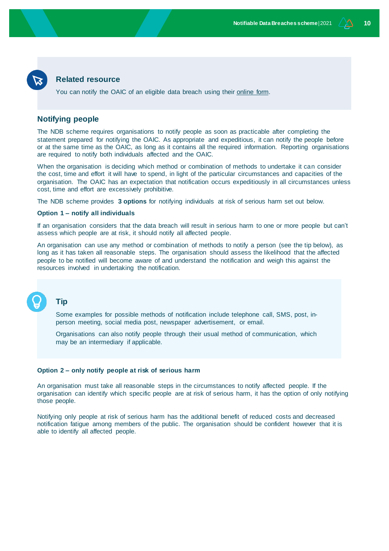### **Related resource**

You can notify the OAIC of an eligible data breach using their [online form.](https://forms.business.gov.au/smartforms/landing.htm?formCode=OAIC-NDB)

### **Notifying people**

The NDB scheme requires organisations to notify people as soon as practicable after completing the statement prepared for notifying the OAIC. As appropriate and expeditious, it can notify the people before or at the same time as the OAIC, as long as it contains all the required information. Reporting organisations are required to notify both individuals affected and the OAIC.

When the organisation is deciding which method or combination of methods to undertake it can consider the cost, time and effort it will have to spend, in light of the particular circumstances and capacities of the organisation. The OAIC has an expectation that notification occurs expeditiously in all circumstances unless cost, time and effort are excessively prohibitive.

The NDB scheme provides **3 options** for notifying individuals at risk of serious harm set out below.

#### **Option 1 – notify all individuals**

If an organisation considers that the data breach will result in serious harm to one or more people but can't assess which people are at risk, it should notify all affected people.

An organisation can use any method or combination of methods to notify a person (see the tip below), as long as it has taken all reasonable steps. The organisation should assess the likelihood that the affected people to be notified will become aware of and understand the notification and weigh this against the resources involved in undertaking the notification.

### **Tip**

Some examples for possible methods of notification include telephone call, SMS, post, inperson meeting, social media post, newspaper advertisement, or email.

Organisations can also notify people through their usual method of communication, which may be an intermediary if applicable.

### **Option 2 – only notify people at risk of serious harm**

An organisation must take all reasonable steps in the circumstances to notify affected people. If the organisation can identify which specific people are at risk of serious harm, it has the option of only notifying those people.

Notifying only people at risk of serious harm has the additional benefit of reduced costs and decreased notification fatigue among members of the public. The organisation should be confident however that it is able to identify all affected people.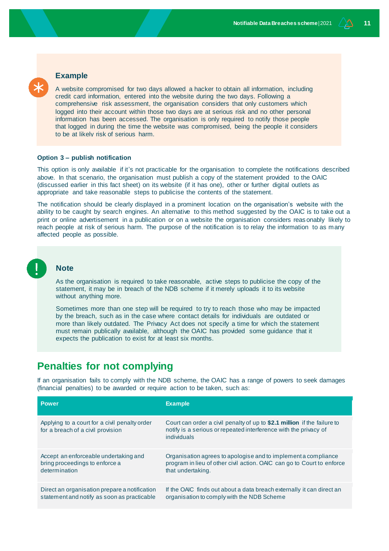# **Example**

A website compromised for two days allowed a hacker to obtain all information, including credit card information, entered into the website during the two days. Following a comprehensive risk assessment, the organisation considers that only customers which logged into their account within those two days are at serious risk and no other personal information has been accessed. The organisation is only required to notify those people that logged in during the time the website was compromised, being the people it considers to be at likely risk of serious harm.

### **Option 3 – publish notification**

This option is only available if it's not practicable for the organisation to complete the notifications described above. In that scenario, the organisation must publish a copy of the statement provided to the OAIC (discussed earlier in this fact sheet) on its website (if it has one), other or further digital outlets as appropriate and take reasonable steps to publicise the contents of the statement.

The notification should be clearly displayed in a prominent location on the organisation's website with the ability to be caught by search engines. An alternative to this method suggested by the OAIC is to take out a print or online advertisement in a publication or on a website the organisation considers reas onably likely to reach people at risk of serious harm. The purpose of the notification is to relay the information to as many affected people as possible.



### **Note**

As the organisation is required to take reasonable, active steps to publicise the copy of the statement, it may be in breach of the NDB scheme if it merely uploads it to its website without anything more.

Sometimes more than one step will be required to try to reach those who may be impacted by the breach, such as in the case where contact details for individuals are outdated or more than likely outdated. The Privacy Act does not specify a time for which the statement must remain publically available, although the OAIC has provided some guidance that it expects the publication to exist for at least six months.

# **Penalties for not complying**

If an organisation fails to comply with the NDB scheme, the OAIC has a range of powers to seek damages (financial penalties) to be awarded or require action to be taken, such as:

| <b>Power</b>                                                                       | <b>Example</b>                                                                                                                                              |
|------------------------------------------------------------------------------------|-------------------------------------------------------------------------------------------------------------------------------------------------------------|
| Applying to a court for a civil penalty order<br>for a breach of a civil provision | Court can order a civil penalty of up to \$2.1 million if the failure to<br>notify is a serious or repeated interference with the privacy of<br>individuals |
| Accept an enforceable undertaking and                                              | Organisation agrees to apologise and to implement a compliance                                                                                              |
| bring proceedings to enforce a                                                     | program in lieu of other civil action. OAIC can go to Court to enforce                                                                                      |
| determination                                                                      | that undertaking.                                                                                                                                           |
| Direct an organisation prepare a notification                                      | If the OAIC finds out about a data breach externally it can direct an                                                                                       |
| statement and notify as soon as practicable                                        | organisation to comply with the NDB Scheme                                                                                                                  |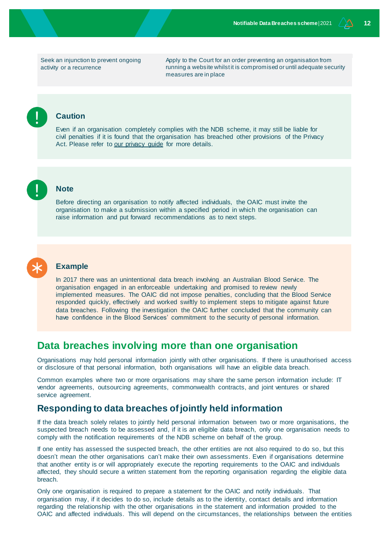Seek an injunction to prevent ongoing activity or a recurrence

Apply to the Court for an order preventing an organisation from running a website whilst it is compromised or until adequate security measures are in place

### **Caution**

Even if an organisation completely complies with the NDB scheme, it may still be liable for civil penalties if it is found that the organisation has breached other provisions of the Privacy Act. Please refer to our privacy quide for more details.



### **Note**

Before directing an organisation to notify affected individuals, the OAIC must invite the organisation to make a submission within a specified period in which the organisation can raise information and put forward recommendations as to next steps.



#### **Example**

In 2017 there was an unintentional data breach involving an Australian Blood Service. The organisation engaged in an enforceable undertaking and promised to review newly implemented measures. The OAIC did not impose penalties, concluding that the Blood Service responded quickly, effectively and worked swiftly to implement steps to mitigate against future data breaches. Following the investigation the OAIC further concluded that the community can have confidence in the Blood Services' commitment to the security of personal information.

# **Data breaches involving more than one organisation**

Organisations may hold personal information jointly with other organisations. If there is unauthorised access or disclosure of that personal information, both organisations will have an eligible data breach.

Common examples where two or more organisations may share the same person information include: IT vendor agreements, outsourcing agreements, commonwealth contracts, and joint ventures or shared service agreement.

# **Responding to data breaches of jointly held information**

If the data breach solely relates to jointly held personal information between two or more organisations, the suspected breach needs to be assessed and, if it is an eligible data breach, only one organisation needs to comply with the notification requirements of the NDB scheme on behalf of the group.

If one entity has assessed the suspected breach, the other entities are not also required to do so, but this doesn't mean the other organisations can't make their own assessments. Even if organisations determine that another entity is or will appropriately execute the reporting requirements to the OAIC and individuals affected, they should secure a written statement from the reporting organisation regarding the eligible data breach.

Only one organisation is required to prepare a statement for the OAIC and notify individuals. That organisation may, if it decides to do so, include details as to the identity, contact details and information regarding the relationship with the other organisations in the statement and information provided to the OAIC and affected individuals. This will depend on the circumstances, the relationships between the entities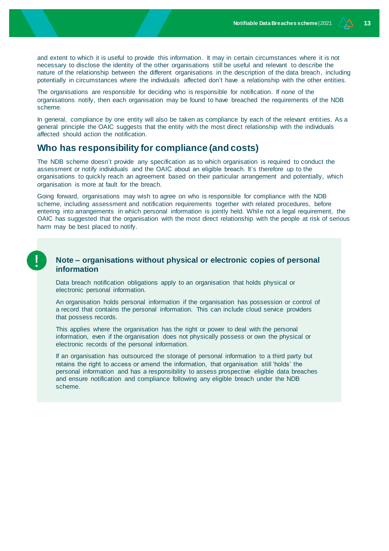and extent to which it is useful to provide this information. It may in certain circumstances where it is not necessary to disclose the identity of the other organisations still be useful and relevant to describe the nature of the relationship between the different organisations in the description of the data breach, including potentially in circumstances where the individuals affected don't have a relationship with the other entities.

The organisations are responsible for deciding who is responsible for notification. If none of the organisations notify, then each organisation may be found to have breached the requirements of the NDB scheme.

In general, compliance by one entity will also be taken as compliance by each of the relevant entities. As a general principle the OAIC suggests that the entity with the most direct relationship with the individuals affected should action the notification.

# **Who has responsibility for compliance (and costs)**

The NDB scheme doesn't provide any specification as to which organisation is required to conduct the assessment or notify individuals and the OAIC about an eligible breach. It's therefore up to the organisations to quickly reach an agreement based on their particular arrangement and potentially, which organisation is more at fault for the breach.

Going forward, organisations may wish to agree on who is responsible for compliance with the NDB scheme, including assessment and notification requirements together with related procedures, before entering into arrangements in which personal information is jointly held. While not a legal requirement, the OAIC has suggested that the organisation with the most direct relationship with the people at risk of serious harm may be best placed to notify.

### **Note – organisations without physical or electronic copies of personal information**

Data breach notification obligations apply to an organisation that holds physical or electronic personal information.

An organisation holds personal information if the organisation has possession or control of a record that contains the personal information. This can include cloud service providers that possess records.

This applies where the organisation has the right or power to deal with the personal information, even if the organisation does not physically possess or own the physical or electronic records of the personal information.

If an organisation has outsourced the storage of personal information to a third party but retains the right to access or amend the information, that organisation still 'holds' the personal information and has a responsibility to assess prospective eligible data breaches and ensure notification and compliance following any eligible breach under the NDB scheme.